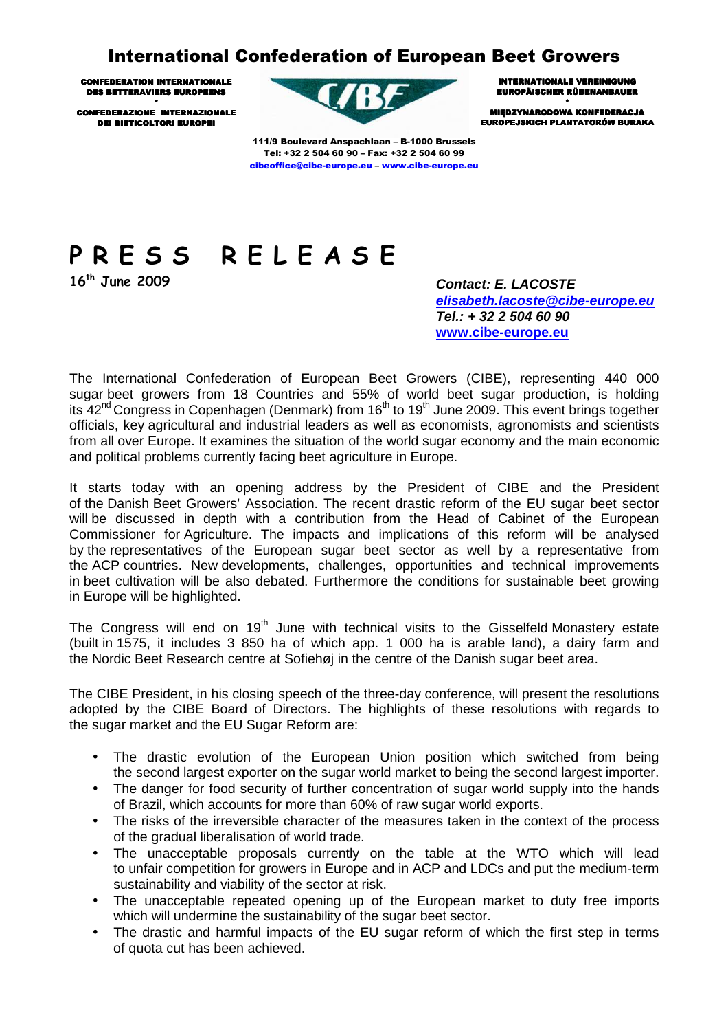## International Confederation of European Beet Growers

**CONFEDERATION INTERNATIONALE** DES BETTERAVIERS EUROPEENS EUROPEENS

\* CONFEDERAZIONE INTERNAZIONALE DEI BIETICOLTORI EUROPEI



111/9 Boulevard Anspachlaan – B-1000 Brussels Tel: +32 2 504 60 90 – Fax: +32 2 504 60 99 cibeoffice@cibe-europe.eu – www.cibe-europe.eu INTERNATIONALE VEREINIGUNG EUROPÄISCHER RÜBENANBAUER RÜBENANBAUER

\* MIĘDZYNARODOWA KONFEDERACJA EUROPEJSKICH PLANTATORÓW BURAKA

## **P R E S S R E L E A S E**

**16th June 2009** 

**Contact: E. LACOSTE elisabeth.lacoste@cibe-europe.eu Tel.: + 32 2 504 60 90 www.cibe-europe.eu** 

The International Confederation of European Beet Growers (CIBE), representing 440 000 sugar beet growers from 18 Countries and 55% of world beet sugar production, is holding its  $42<sup>nd</sup>$  Congress in Copenhagen (Denmark) from 16<sup>th</sup> to 19<sup>th</sup> June 2009. This event brings together officials, key agricultural and industrial leaders as well as economists, agronomists and scientists from all over Europe. It examines the situation of the world sugar economy and the main economic and political problems currently facing beet agriculture in Europe.

It starts today with an opening address by the President of CIBE and the President of the Danish Beet Growers' Association. The recent drastic reform of the EU sugar beet sector will be discussed in depth with a contribution from the Head of Cabinet of the European Commissioner for Agriculture. The impacts and implications of this reform will be analysed by the representatives of the European sugar beet sector as well by a representative from the ACP countries. New developments, challenges, opportunities and technical improvements in beet cultivation will be also debated. Furthermore the conditions for sustainable beet growing in Europe will be highlighted.

The Congress will end on  $19<sup>th</sup>$  June with technical visits to the Gisselfeld Monastery estate (built in 1575, it includes 3 850 ha of which app. 1 000 ha is arable land), a dairy farm and the Nordic Beet Research centre at Sofiehøj in the centre of the Danish sugar beet area.

The CIBE President, in his closing speech of the three-day conference, will present the resolutions adopted by the CIBE Board of Directors. The highlights of these resolutions with regards to the sugar market and the EU Sugar Reform are:

- The drastic evolution of the European Union position which switched from being the second largest exporter on the sugar world market to being the second largest importer.
- The danger for food security of further concentration of sugar world supply into the hands of Brazil, which accounts for more than 60% of raw sugar world exports.
- The risks of the irreversible character of the measures taken in the context of the process of the gradual liberalisation of world trade.
- The unacceptable proposals currently on the table at the WTO which will lead to unfair competition for growers in Europe and in ACP and LDCs and put the medium-term sustainability and viability of the sector at risk.
- The unacceptable repeated opening up of the European market to duty free imports which will undermine the sustainability of the sugar beet sector.
- The drastic and harmful impacts of the EU sugar reform of which the first step in terms of quota cut has been achieved.